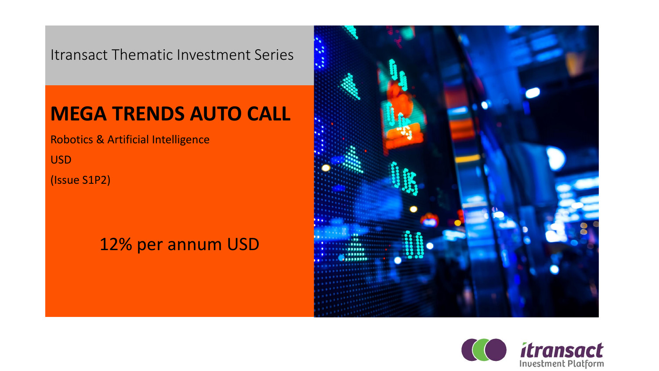Itransact Thematic Investment Series

### **MEGA TRENDS AUTO CALL**

Robotics & Artificial Intelligence

USD

(Issue S1P2)

### 12% per annum USD



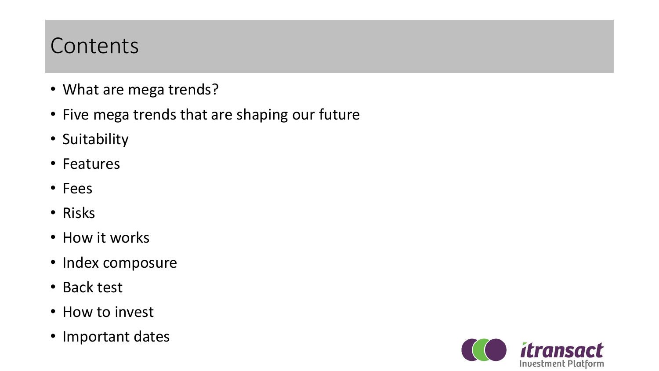## **Contents**

- What are mega trends?
- Five mega trends that are shaping our future
- Suitability
- Features
- Fees
- Risks
- How it works
- Index composure
- Back test
- How to invest
- Important dates

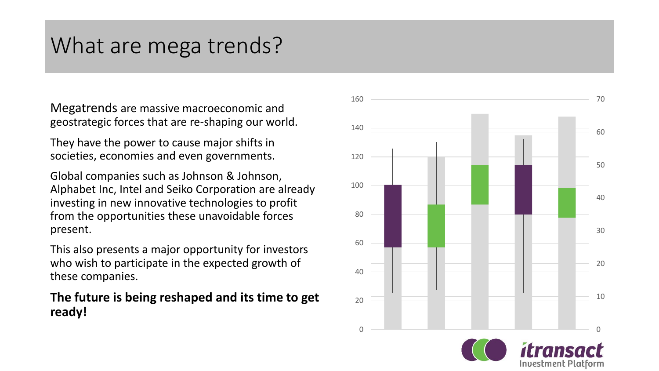# What are mega trends?

Megatrends are massive macroeconomic and geostrategic forces that are re -shaping our world.

They have the power to cause major shifts in societies, economies and even governments.

Global companies such as Johnson & Johnson, Alphabet Inc, Intel and Seiko Corporation are already investing in new innovative technologies to profit from the opportunities these unavoidable forces present.

This also presents a major opportunity for investors who wish to participate in the expected growth of these companies.

### **The future is being reshaped and its time to get ready!**

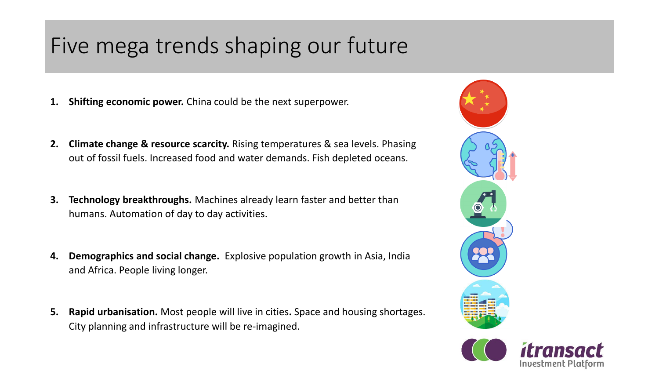# Five mega trends shaping our future

- **1. Shifting economic power.** China could be the next superpower.
- **2. Climate change & resource scarcity.** Rising temperatures & sea levels. Phasing out of fossil fuels. Increased food and water demands. Fish depleted oceans.
- **3. Technology breakthroughs.** Machines already learn faster and better than humans. Automation of day to day activities.
- **4. Demographics and social change.** Explosive population growth in Asia, India and Africa. People living longer.
- **5. Rapid urbanisation.** Most people will live in cities**.** Space and housing shortages. City planning and infrastructure will be re-imagined.



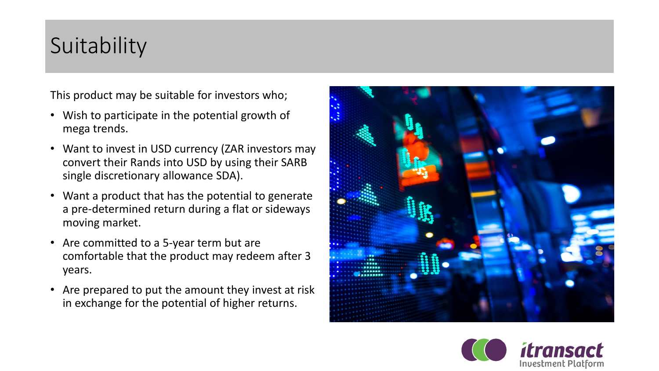# **Suitability**

This product may be suitable for investors who;

- Wish to participate in the potential growth of mega trends.
- Want to invest in USD currency (ZAR investors may convert their Rands into USD by using their SARB single discretionary allowance SDA).
- Want a product that has the potential to generate a pre-determined return during a flat or sideways moving market.
- Are committed to a 5-year term but are comfortable that the product may redeem after 3 years.
- Are prepared to put the amount they invest at risk in exchange for the potential of higher returns.



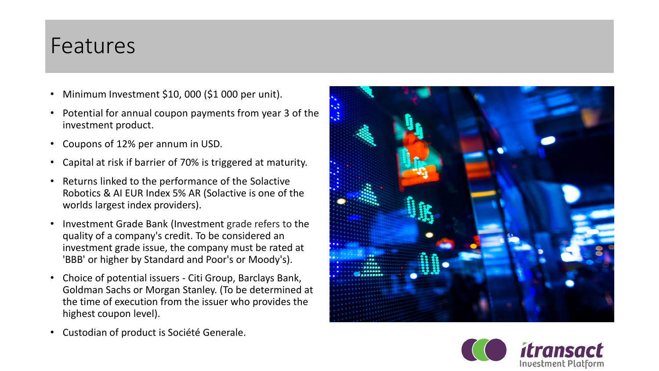### Features

- Minimum Investment \$10, 000 (\$1 000 per unit).
- Potential for annual coupon payments from year 3 of the investment product.
- Coupons of 12% per annum in USD.
- Capital at risk if barrier of 70% is triggered at maturity.
- Returns linked to the performance of the Solactive Robotics & AI EUR Index 5% AR (Solactive is one of the worlds largest index providers).
- Investment Grade Bank (Investment grade refers to the quality of a company's credit. To be considered an investment grade issue, the company must be rated at 'BBB' or higher by Standard and Poor's or Moody's).
- Choice of potential issuers Citi Group, Barclays Bank, Goldman Sachs or Morgan Stanley. (To be determined at the time of execution from the issuer who provides the highest coupon level).
- Custodian of product is Société Generale.



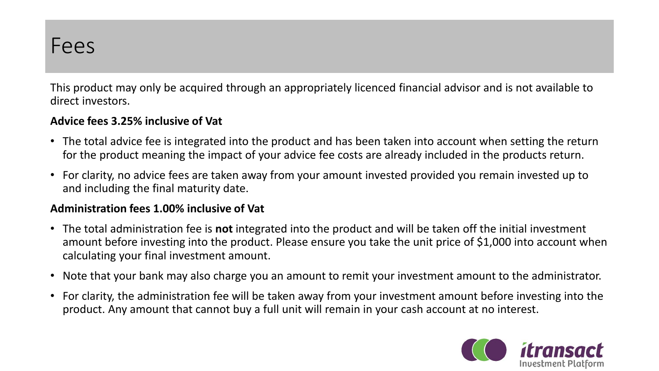This product may only be acquired through an appropriately licenced financial advisor and is not available to direct investors.

### **Advice fees 3.25% inclusive of Vat**

- The total advice fee is integrated into the product and has been taken into account when setting the return for the product meaning the impact of your advice fee costs are already included in the products return.
- For clarity, no advice fees are taken away from your amount invested provided you remain invested up to and including the final maturity date.

### **Administration fees 1.00% inclusive of Vat**

- The total administration fee is **not** integrated into the product and will be taken off the initial investment amount before investing into the product. Please ensure you take the unit price of \$1,000 into account when calculating your final investment amount.
- Note that your bank may also charge you an amount to remit your investment amount to the administrator.
- For clarity, the administration fee will be taken away from your investment amount before investing into the product. Any amount that cannot buy a full unit will remain in your cash account at no interest.

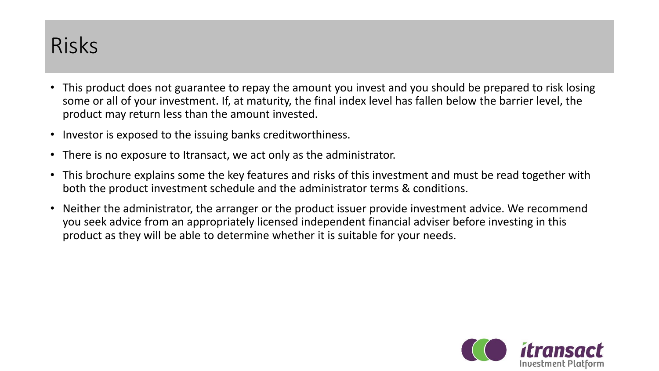## Risks

- This product does not guarantee to repay the amount you invest and you should be prepared to risk losing some or all of your investment. If, at maturity, the final index level has fallen below the barrier level, the product may return less than the amount invested.
- Investor is exposed to the issuing banks creditworthiness.
- There is no exposure to Itransact, we act only as the administrator.
- This brochure explains some the key features and risks of this investment and must be read together with both the product investment schedule and the administrator terms & conditions.
- Neither the administrator, the arranger or the product issuer provide investment advice. We recommend you seek advice from an appropriately licensed independent financial adviser before investing in this product as they will be able to determine whether it is suitable for your needs.

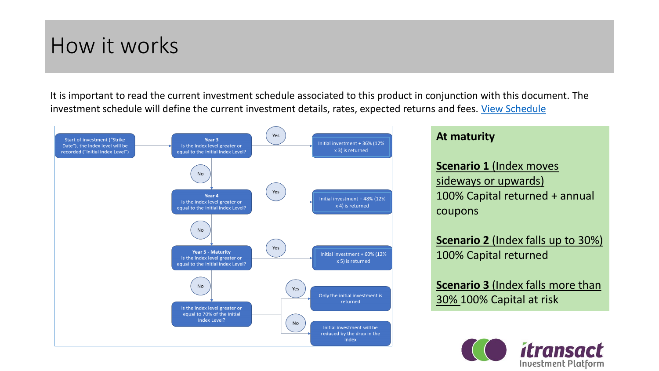### How it works

It is important to read the current investment schedule associated to this product in conjunction with this document. The investment schedule will define the current investment details, rates, expected returns and fees. [View Schedule](https://www.itransact.co.za/Library/ITRANSACT%20MEDIA/BROCHURES/itransact_megatrend_robotics_&_ai_schedule.pdf)



#### **At maturity**

**Scenario 1** (Index moves sideways or upwards) 100% Capital returned + annual coupons

**Scenario 2** (Index falls up to 30%) 100% Capital returned

**Scenario 3** (Index falls more than 30% 100% Capital at risk

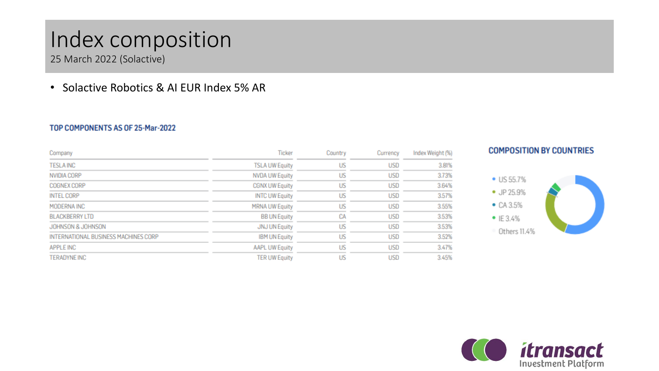## Index composition

25 March 2022 (Solactive)

### • Solactive Robotics & AI EUR Index 5% AR

#### TOP COMPONENTS AS OF 25-Mar-2022

| Company                              | Ticker                | Country | Currency   | Index Weight (%) |
|--------------------------------------|-----------------------|---------|------------|------------------|
| <b>TESLA INC</b>                     | <b>TSLA UW Equity</b> | US      | USD        | 3.81%            |
| NVIDIA CORP                          | <b>NVDA UW Equity</b> | US      | <b>USD</b> | 3.73%            |
| COGNEX CORP                          | <b>CGNX UW Equity</b> | US      | USD        | 3.64%            |
| <b>INTEL CORP</b>                    | <b>INTC UW Equity</b> | US      | USD        | 3.57%            |
| MODERNA INC                          | <b>MRNA UW Equity</b> | US      | USD        | 3.55%            |
| <b>BLACKBERRY LTD</b>                | <b>BB UN Equity</b>   | CA      | USD        | 3.53%            |
| JOHNSON & JOHNSON                    | <b>JNJ UN Equity</b>  | US      | USD        | 3.53%            |
| INTERNATIONAL BUSINESS MACHINES CORP | <b>IBM UN Equity</b>  | US      | USD        | 3.52%            |
| <b>APPLE INC</b>                     | <b>AAPL UW Equity</b> | US      | USD        | 3.47%            |
| <b>TERADYNE INC</b>                  | <b>TER UW Equity</b>  | US      | USD        | 3.45%            |





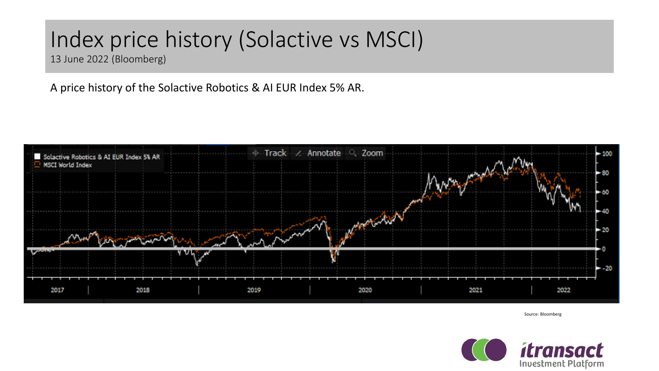# Index price history (Solactive vs MSCI)

13 June 2022 (Bloomberg)

A price history of the Solactive Robotics & AI EUR Index 5% AR.



Source: Bloomberg

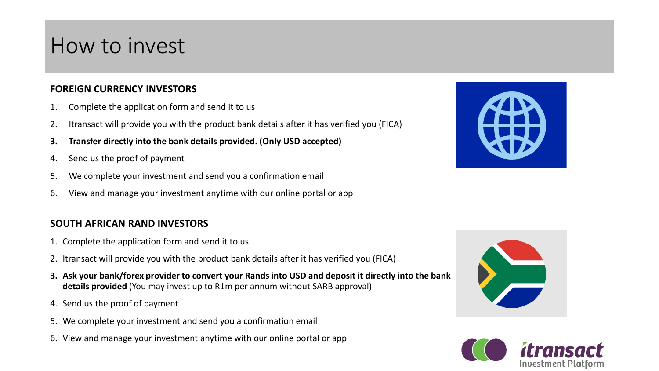### How to invest

#### **FOREIGN CURRENCY INVESTORS**

- 1. Complete the application form and send it to us
- 2. Itransact will provide you with the product bank details after it has verified you (FICA)
- **3. Transfer directly into the bank details provided. (Only USD accepted)**
- 4. Send us the proof of payment
- 5. We complete your investment and send you a confirmation email
- 6. View and manage your investment anytime with our online portal or app

#### **SOUTH AFRICAN RAND INVESTORS**

- 1. Complete the application form and send it to us
- 2. Itransact will provide you with the product bank details after it has verified you (FICA)
- **3. Ask your bank/forex provider to convert your Rands into USD and deposit it directly into the bank details provided** (You may invest up to R1m per annum without SARB approval)
- 4. Send us the proof of payment
- 5. We complete your investment and send you a confirmation email
- 6. View and manage your investment anytime with our online portal or app





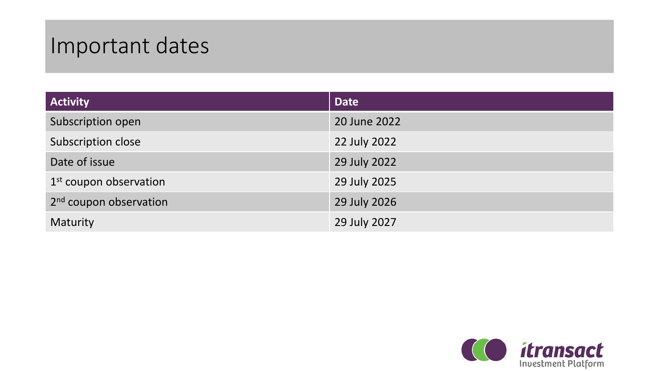# Important dates

| <b>Activity</b>                    | <b>Date</b>  |
|------------------------------------|--------------|
| Subscription open                  | 20 June 2022 |
| Subscription close                 | 22 July 2022 |
| Date of issue                      | 29 July 2022 |
| $1st$ coupon observation           | 29 July 2025 |
| 2 <sup>nd</sup> coupon observation | 29 July 2026 |
| Maturity                           | 29 July 2027 |